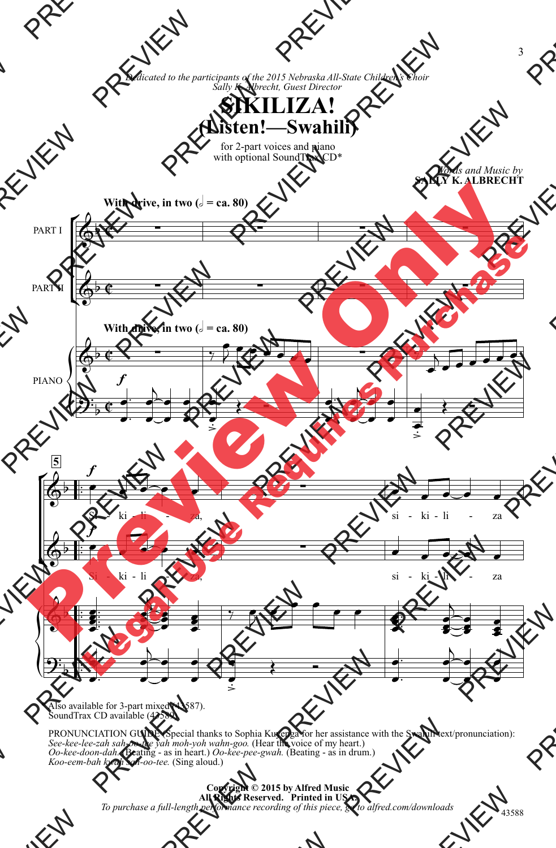*Dedicated to the participants of the 2015 Nebraska All-State Children's Choir Sally K. Albrecht, Guest Director*

## **SIKILIZA! (Listen!—Swahili)**

for 2-part voices and piano with optional SoundTrax  $CD^*$ 



\* Also available for 3-part mixed (43587). SoundTrax CD available (43589).

PRONUNCIATION GUIDE (Special thanks to Sophia Kuyenga for her assistance with the Swahili text/pronunciation):<br>See-kee-lee-zah sah-oo-tee yah moh-yoh wahn-goo. (Hear the voice of my heart.) Secrate-tec-tails survey with the part in the second policies of the control of the control of the control of the control of the control of the control of the control of the control of the control of the control of the con

*Words and Music by*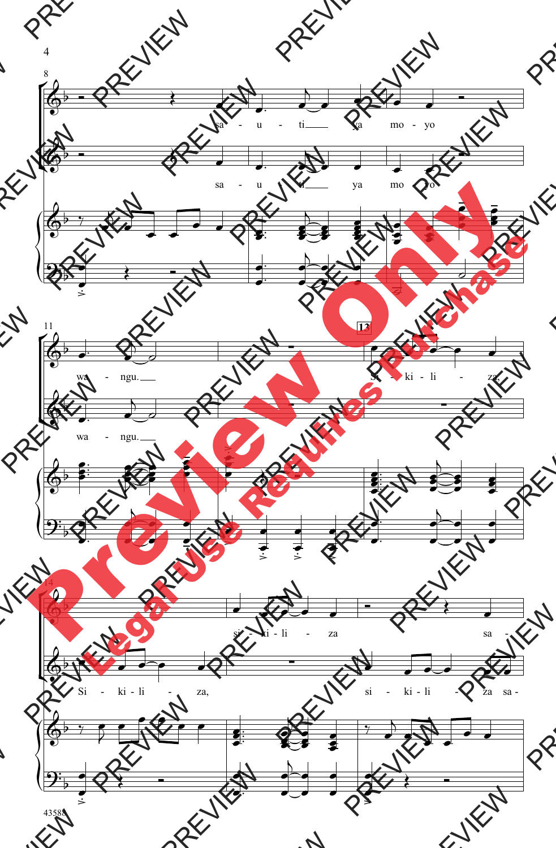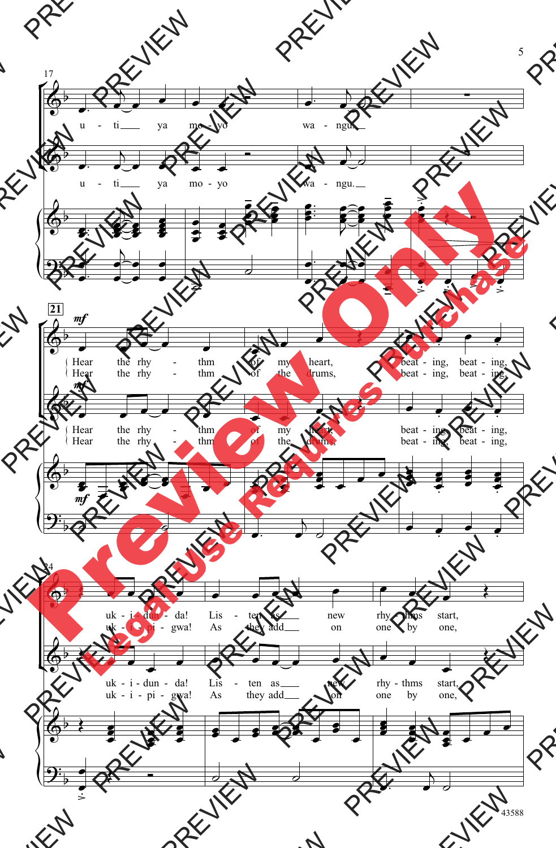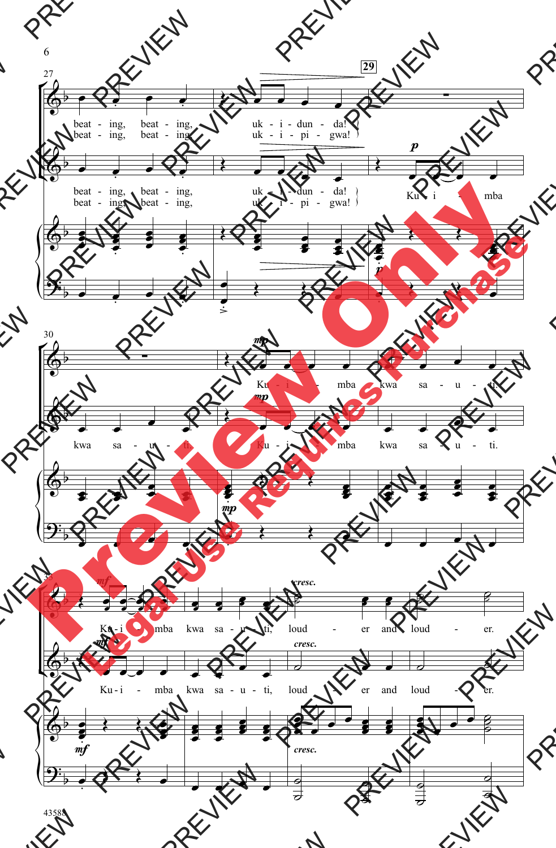

43588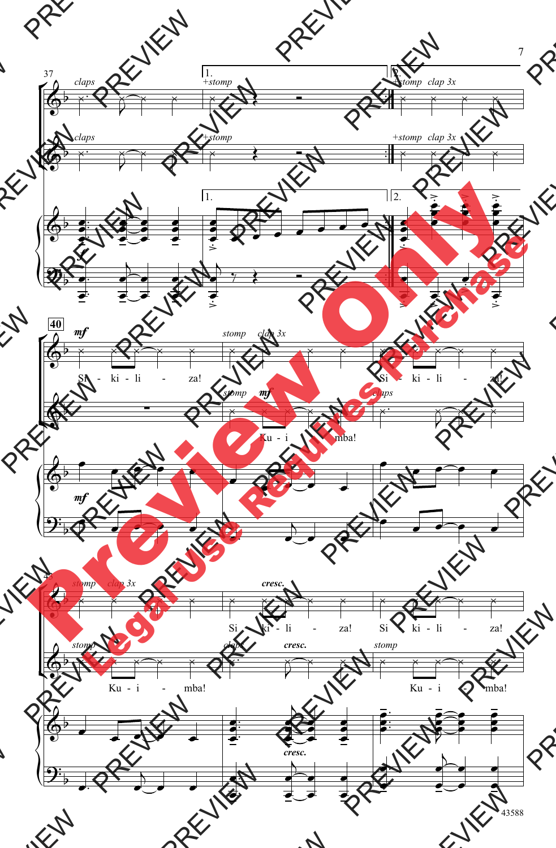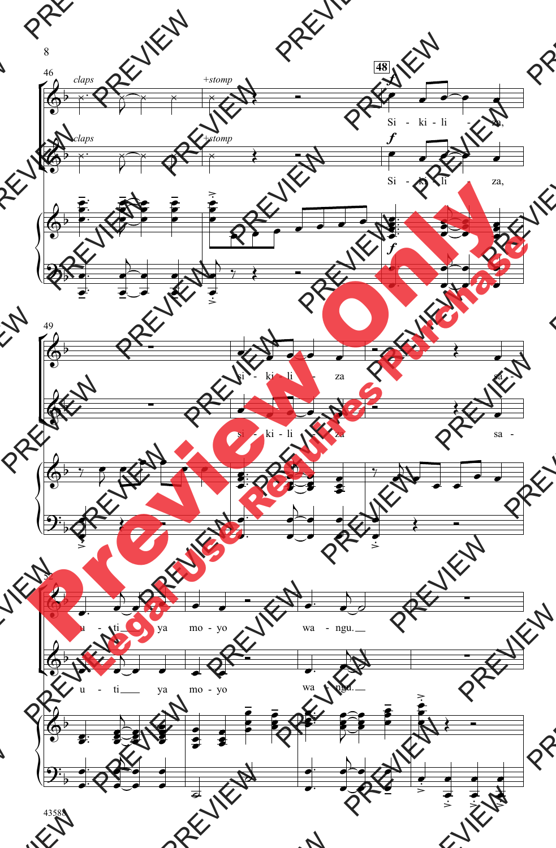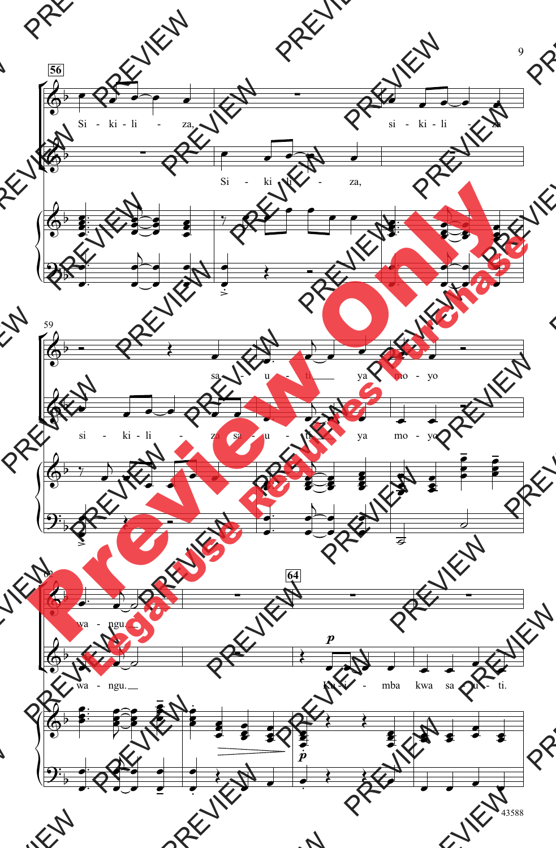